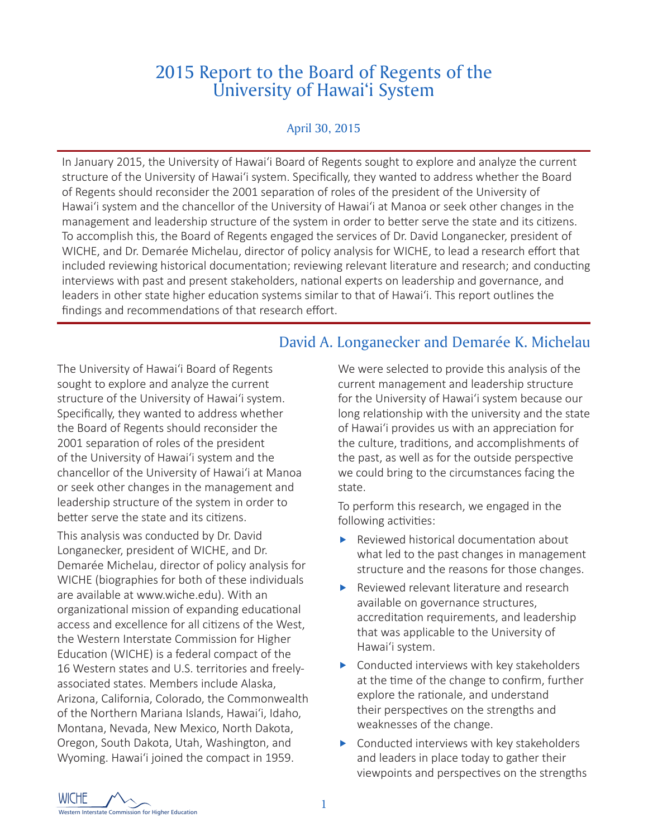# 2015 Report to the Board of Regents of the University of Hawai'i System

#### April 30, 2015

In January 2015, the University of Hawai'i Board of Regents sought to explore and analyze the current structure of the University of Hawai'i system. Specifically, they wanted to address whether the Board of Regents should reconsider the 2001 separation of roles of the president of the University of Hawai'i system and the chancellor of the University of Hawai'i at Manoa or seek other changes in the management and leadership structure of the system in order to better serve the state and its citizens. To accomplish this, the Board of Regents engaged the services of Dr. David Longanecker, president of WICHE, and Dr. Demarée Michelau, director of policy analysis for WICHE, to lead a research effort that included reviewing historical documentation; reviewing relevant literature and research; and conducting interviews with past and present stakeholders, national experts on leadership and governance, and leaders in other state higher education systems similar to that of Hawai'i. This report outlines the findings and recommendations of that research effort.

## David A. Longanecker and Demarée K. Michelau

The University of Hawai'i Board of Regents sought to explore and analyze the current structure of the University of Hawai'i system. Specifically, they wanted to address whether the Board of Regents should reconsider the 2001 separation of roles of the president of the University of Hawai'i system and the chancellor of the University of Hawai'i at Manoa or seek other changes in the management and leadership structure of the system in order to better serve the state and its citizens.

This analysis was conducted by Dr. David Longanecker, president of WICHE, and Dr. Demarée Michelau, director of policy analysis for WICHE (biographies for both of these individuals are available at www.wiche.edu). With an organizational mission of expanding educational access and excellence for all citizens of the West, the Western Interstate Commission for Higher Education (WICHE) is a federal compact of the 16 Western states and U.S. territories and freelyassociated states. Members include Alaska, Arizona, California, Colorado, the Commonwealth of the Northern Mariana Islands, Hawai'i, Idaho, Montana, Nevada, New Mexico, North Dakota, Oregon, South Dakota, Utah, Washington, and Wyoming. Hawai'i joined the compact in 1959.

We were selected to provide this analysis of the current management and leadership structure for the University of Hawai'i system because our long relationship with the university and the state of Hawai'i provides us with an appreciation for the culture, traditions, and accomplishments of the past, as well as for the outside perspective we could bring to the circumstances facing the state.

To perform this research, we engaged in the following activities:

- $\blacktriangleright$  Reviewed historical documentation about what led to the past changes in management structure and the reasons for those changes.
- $\blacktriangleright$  Reviewed relevant literature and research available on governance structures, accreditation requirements, and leadership that was applicable to the University of Hawai'i system.
- $\triangleright$  Conducted interviews with key stakeholders at the time of the change to confirm, further explore the rationale, and understand their perspectives on the strengths and weaknesses of the change.
- $\triangleright$  Conducted interviews with key stakeholders and leaders in place today to gather their viewpoints and perspectives on the strengths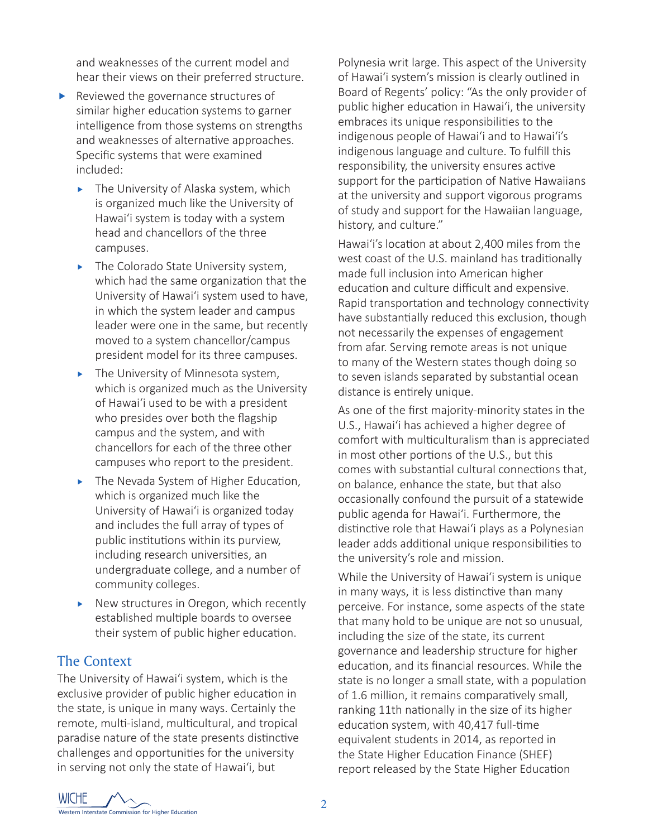and weaknesses of the current model and hear their views on their preferred structure.

- $\blacktriangleright$  Reviewed the governance structures of similar higher education systems to garner intelligence from those systems on strengths and weaknesses of alternative approaches. Specific systems that were examined included:
	- $\blacktriangleright$  The University of Alaska system, which is organized much like the University of Hawai'i system is today with a system head and chancellors of the three campuses.
	- $\blacktriangleright$  The Colorado State University system, which had the same organization that the University of Hawai'i system used to have, in which the system leader and campus leader were one in the same, but recently moved to a system chancellor/campus president model for its three campuses.
	- $\blacktriangleright$  The University of Minnesota system, which is organized much as the University of Hawai'i used to be with a president who presides over both the flagship campus and the system, and with chancellors for each of the three other campuses who report to the president.
	- $\blacktriangleright$  The Nevada System of Higher Education, which is organized much like the University of Hawai'i is organized today and includes the full array of types of public institutions within its purview, including research universities, an undergraduate college, and a number of community colleges.
	- $\blacktriangleright$  New structures in Oregon, which recently established multiple boards to oversee their system of public higher education.

## The Context

The University of Hawai'i system, which is the exclusive provider of public higher education in the state, is unique in many ways. Certainly the remote, multi-island, multicultural, and tropical paradise nature of the state presents distinctive challenges and opportunities for the university in serving not only the state of Hawai'i, but

Polynesia writ large. This aspect of the University of Hawai'i system's mission is clearly outlined in Board of Regents' policy: "As the only provider of public higher education in Hawai'i, the university embraces its unique responsibilities to the indigenous people of Hawai'i and to Hawai'i's indigenous language and culture. To fulfill this responsibility, the university ensures active support for the participation of Native Hawaiians at the university and support vigorous programs of study and support for the Hawaiian language, history, and culture."

Hawai'i's location at about 2,400 miles from the west coast of the U.S. mainland has traditionally made full inclusion into American higher education and culture difficult and expensive. Rapid transportation and technology connectivity have substantially reduced this exclusion, though not necessarily the expenses of engagement from afar. Serving remote areas is not unique to many of the Western states though doing so to seven islands separated by substantial ocean distance is entirely unique.

As one of the first majority-minority states in the U.S., Hawai'i has achieved a higher degree of comfort with multiculturalism than is appreciated in most other portions of the U.S., but this comes with substantial cultural connections that, on balance, enhance the state, but that also occasionally confound the pursuit of a statewide public agenda for Hawai'i. Furthermore, the distinctive role that Hawai'i plays as a Polynesian leader adds additional unique responsibilities to the university's role and mission.

While the University of Hawai'i system is unique in many ways, it is less distinctive than many perceive. For instance, some aspects of the state that many hold to be unique are not so unusual, including the size of the state, its current governance and leadership structure for higher education, and its financial resources. While the state is no longer a small state, with a population of 1.6 million, it remains comparatively small, ranking 11th nationally in the size of its higher education system, with 40,417 full-time equivalent students in 2014, as reported in the State Higher Education Finance (SHEF) report released by the State Higher Education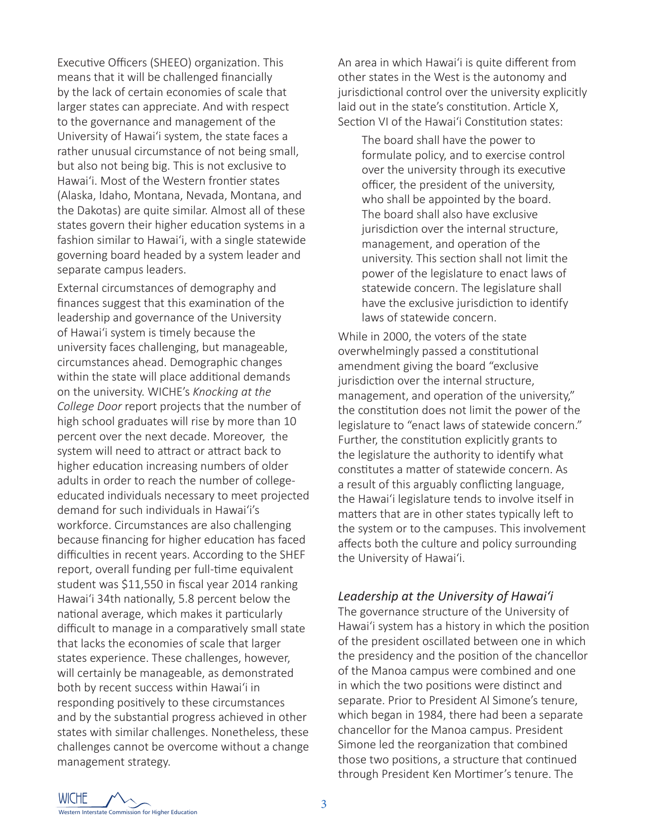Executive Officers (SHEEO) organization. This means that it will be challenged financially by the lack of certain economies of scale that larger states can appreciate. And with respect to the governance and management of the University of Hawai'i system, the state faces a rather unusual circumstance of not being small, but also not being big. This is not exclusive to Hawai'i. Most of the Western frontier states (Alaska, Idaho, Montana, Nevada, Montana, and the Dakotas) are quite similar. Almost all of these states govern their higher education systems in a fashion similar to Hawai'i, with a single statewide governing board headed by a system leader and separate campus leaders.

External circumstances of demography and finances suggest that this examination of the leadership and governance of the University of Hawai'i system is timely because the university faces challenging, but manageable, circumstances ahead. Demographic changes within the state will place additional demands on the university. WICHE's *Knocking at the College Door* report projects that the number of high school graduates will rise by more than 10 percent over the next decade. Moreover, the system will need to attract or attract back to higher education increasing numbers of older adults in order to reach the number of collegeeducated individuals necessary to meet projected demand for such individuals in Hawai'i's workforce. Circumstances are also challenging because financing for higher education has faced difficulties in recent years. According to the SHEF report, overall funding per full-time equivalent student was \$11,550 in fiscal year 2014 ranking Hawai'i 34th nationally, 5.8 percent below the national average, which makes it particularly difficult to manage in a comparatively small state that lacks the economies of scale that larger states experience. These challenges, however, will certainly be manageable, as demonstrated both by recent success within Hawai'i in responding positively to these circumstances and by the substantial progress achieved in other states with similar challenges. Nonetheless, these challenges cannot be overcome without a change management strategy.

An area in which Hawai'i is quite different from other states in the West is the autonomy and jurisdictional control over the university explicitly laid out in the state's constitution. Article X, Section VI of the Hawai'i Constitution states:

The board shall have the power to formulate policy, and to exercise control over the university through its executive officer, the president of the university, who shall be appointed by the board. The board shall also have exclusive jurisdiction over the internal structure. management, and operation of the university. This section shall not limit the power of the legislature to enact laws of statewide concern. The legislature shall have the exclusive jurisdiction to identify laws of statewide concern.

While in 2000, the voters of the state overwhelmingly passed a constitutional amendment giving the board "exclusive jurisdiction over the internal structure, management, and operation of the university," the constitution does not limit the power of the legislature to "enact laws of statewide concern." Further, the constitution explicitly grants to the legislature the authority to identify what constitutes a matter of statewide concern. As a result of this arguably conflicting language, the Hawai'i legislature tends to involve itself in matters that are in other states typically left to the system or to the campuses. This involvement affects both the culture and policy surrounding the University of Hawai'i.

#### *Leadership at the University of Hawai'i*

The governance structure of the University of Hawai'i system has a history in which the position of the president oscillated between one in which the presidency and the position of the chancellor of the Manoa campus were combined and one in which the two positions were distinct and separate. Prior to President Al Simone's tenure, which began in 1984, there had been a separate chancellor for the Manoa campus. President Simone led the reorganization that combined those two positions, a structure that continued through President Ken Mortimer's tenure. The

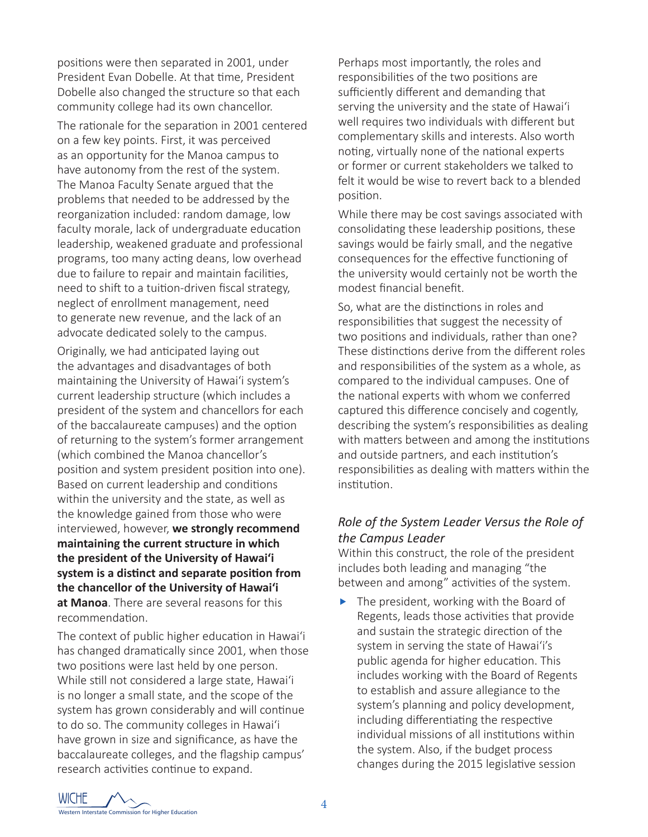positions were then separated in 2001, under President Evan Dobelle. At that time, President Dobelle also changed the structure so that each community college had its own chancellor.

The rationale for the separation in 2001 centered on a few key points. First, it was perceived as an opportunity for the Manoa campus to have autonomy from the rest of the system. The Manoa Faculty Senate argued that the problems that needed to be addressed by the reorganization included: random damage, low faculty morale, lack of undergraduate education leadership, weakened graduate and professional programs, too many acting deans, low overhead due to failure to repair and maintain facilities, need to shift to a tuition-driven fiscal strategy, neglect of enrollment management, need to generate new revenue, and the lack of an advocate dedicated solely to the campus.

Originally, we had anticipated laying out the advantages and disadvantages of both maintaining the University of Hawai'i system's current leadership structure (which includes a president of the system and chancellors for each of the baccalaureate campuses) and the option of returning to the system's former arrangement (which combined the Manoa chancellor's position and system president position into one). Based on current leadership and conditions within the university and the state, as well as the knowledge gained from those who were interviewed, however, **we strongly recommend maintaining the current structure in which the president of the University of Hawai'i system is a distinct and separate position from the chancellor of the University of Hawai'i at Manoa**. There are several reasons for this recommendation.

The context of public higher education in Hawai'i has changed dramatically since 2001, when those two positions were last held by one person. While still not considered a large state, Hawai'i is no longer a small state, and the scope of the system has grown considerably and will continue to do so. The community colleges in Hawai'i have grown in size and significance, as have the baccalaureate colleges, and the flagship campus' research activities continue to expand.

Perhaps most importantly, the roles and responsibilities of the two positions are sufficiently different and demanding that serving the university and the state of Hawai'i well requires two individuals with different but complementary skills and interests. Also worth noting, virtually none of the national experts or former or current stakeholders we talked to felt it would be wise to revert back to a blended position.

While there may be cost savings associated with consolidating these leadership positions, these savings would be fairly small, and the negative consequences for the effective functioning of the university would certainly not be worth the modest financial benefit.

So, what are the distinctions in roles and responsibilities that suggest the necessity of two positions and individuals, rather than one? These distinctions derive from the different roles and responsibilities of the system as a whole, as compared to the individual campuses. One of the national experts with whom we conferred captured this difference concisely and cogently, describing the system's responsibilities as dealing with matters between and among the institutions and outside partners, and each institution's responsibilities as dealing with matters within the institution.

## *Role of the System Leader Versus the Role of the Campus Leader*

Within this construct, the role of the president includes both leading and managing "the between and among" activities of the system.

The president, working with the Board of Regents, leads those activities that provide and sustain the strategic direction of the system in serving the state of Hawai'i's public agenda for higher education. This includes working with the Board of Regents to establish and assure allegiance to the system's planning and policy development, including differentiating the respective individual missions of all institutions within the system. Also, if the budget process changes during the 2015 legislative session

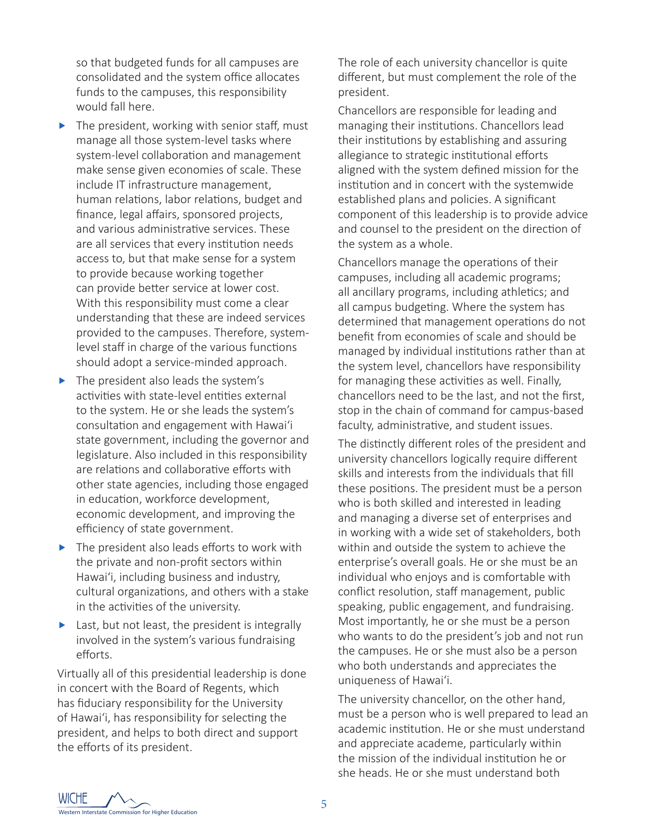so that budgeted funds for all campuses are consolidated and the system office allocates funds to the campuses, this responsibility would fall here.

- $\blacktriangleright$  The president, working with senior staff, must manage all those system-level tasks where system-level collaboration and management make sense given economies of scale. These include IT infrastructure management, human relations, labor relations, budget and finance, legal affairs, sponsored projects, and various administrative services. These are all services that every institution needs access to, but that make sense for a system to provide because working together can provide better service at lower cost. With this responsibility must come a clear understanding that these are indeed services provided to the campuses. Therefore, systemlevel staff in charge of the various functions should adopt a service-minded approach.
- $\blacktriangleright$  The president also leads the system's activities with state-level entities external to the system. He or she leads the system's consultation and engagement with Hawai'i state government, including the governor and legislature. Also included in this responsibility are relations and collaborative efforts with other state agencies, including those engaged in education, workforce development, economic development, and improving the efficiency of state government.
- $\blacktriangleright$  The president also leads efforts to work with the private and non-profit sectors within Hawai'i, including business and industry, cultural organizations, and others with a stake in the activities of the university.
- $\blacktriangleright$  Last, but not least, the president is integrally involved in the system's various fundraising efforts.

Virtually all of this presidential leadership is done in concert with the Board of Regents, which has fiduciary responsibility for the University of Hawai'i, has responsibility for selecting the president, and helps to both direct and support the efforts of its president.

The role of each university chancellor is quite different, but must complement the role of the president.

Chancellors are responsible for leading and managing their institutions. Chancellors lead their institutions by establishing and assuring allegiance to strategic institutional efforts aligned with the system defined mission for the institution and in concert with the systemwide established plans and policies. A significant component of this leadership is to provide advice and counsel to the president on the direction of the system as a whole.

Chancellors manage the operations of their campuses, including all academic programs; all ancillary programs, including athletics; and all campus budgeting. Where the system has determined that management operations do not benefit from economies of scale and should be managed by individual institutions rather than at the system level, chancellors have responsibility for managing these activities as well. Finally, chancellors need to be the last, and not the first, stop in the chain of command for campus-based faculty, administrative, and student issues.

The distinctly different roles of the president and university chancellors logically require different skills and interests from the individuals that fill these positions. The president must be a person who is both skilled and interested in leading and managing a diverse set of enterprises and in working with a wide set of stakeholders, both within and outside the system to achieve the enterprise's overall goals. He or she must be an individual who enjoys and is comfortable with conflict resolution, staff management, public speaking, public engagement, and fundraising. Most importantly, he or she must be a person who wants to do the president's job and not run the campuses. He or she must also be a person who both understands and appreciates the uniqueness of Hawai'i.

The university chancellor, on the other hand, must be a person who is well prepared to lead an academic institution. He or she must understand and appreciate academe, particularly within the mission of the individual institution he or she heads. He or she must understand both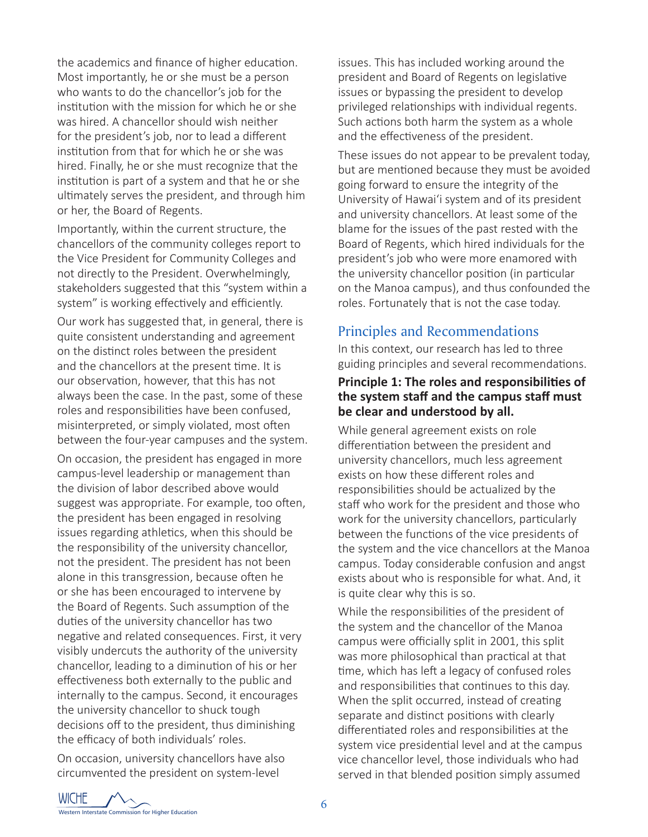the academics and finance of higher education. Most importantly, he or she must be a person who wants to do the chancellor's job for the institution with the mission for which he or she was hired. A chancellor should wish neither for the president's job, nor to lead a different institution from that for which he or she was hired. Finally, he or she must recognize that the institution is part of a system and that he or she ultimately serves the president, and through him or her, the Board of Regents.

Importantly, within the current structure, the chancellors of the community colleges report to the Vice President for Community Colleges and not directly to the President. Overwhelmingly, stakeholders suggested that this "system within a system" is working effectively and efficiently.

Our work has suggested that, in general, there is quite consistent understanding and agreement on the distinct roles between the president and the chancellors at the present time. It is our observation, however, that this has not always been the case. In the past, some of these roles and responsibilities have been confused, misinterpreted, or simply violated, most often between the four-year campuses and the system.

On occasion, the president has engaged in more campus-level leadership or management than the division of labor described above would suggest was appropriate. For example, too often, the president has been engaged in resolving issues regarding athletics, when this should be the responsibility of the university chancellor, not the president. The president has not been alone in this transgression, because often he or she has been encouraged to intervene by the Board of Regents. Such assumption of the duties of the university chancellor has two negative and related consequences. First, it very visibly undercuts the authority of the university chancellor, leading to a diminution of his or her effectiveness both externally to the public and internally to the campus. Second, it encourages the university chancellor to shuck tough decisions off to the president, thus diminishing the efficacy of both individuals' roles.

On occasion, university chancellors have also circumvented the president on system-level

issues. This has included working around the president and Board of Regents on legislative issues or bypassing the president to develop privileged relationships with individual regents. Such actions both harm the system as a whole and the effectiveness of the president.

These issues do not appear to be prevalent today, but are mentioned because they must be avoided going forward to ensure the integrity of the University of Hawai'i system and of its president and university chancellors. At least some of the blame for the issues of the past rested with the Board of Regents, which hired individuals for the president's job who were more enamored with the university chancellor position (in particular on the Manoa campus), and thus confounded the roles. Fortunately that is not the case today.

## Principles and Recommendations

In this context, our research has led to three guiding principles and several recommendations.

## **Principle 1: The roles and responsibilities of the system staff and the campus staff must be clear and understood by all.**

While general agreement exists on role differentiation between the president and university chancellors, much less agreement exists on how these different roles and responsibilities should be actualized by the staff who work for the president and those who work for the university chancellors, particularly between the functions of the vice presidents of the system and the vice chancellors at the Manoa campus. Today considerable confusion and angst exists about who is responsible for what. And, it is quite clear why this is so.

While the responsibilities of the president of the system and the chancellor of the Manoa campus were officially split in 2001, this split was more philosophical than practical at that time, which has left a legacy of confused roles and responsibilities that continues to this day. When the split occurred, instead of creating separate and distinct positions with clearly differentiated roles and responsibilities at the system vice presidential level and at the campus vice chancellor level, those individuals who had served in that blended position simply assumed

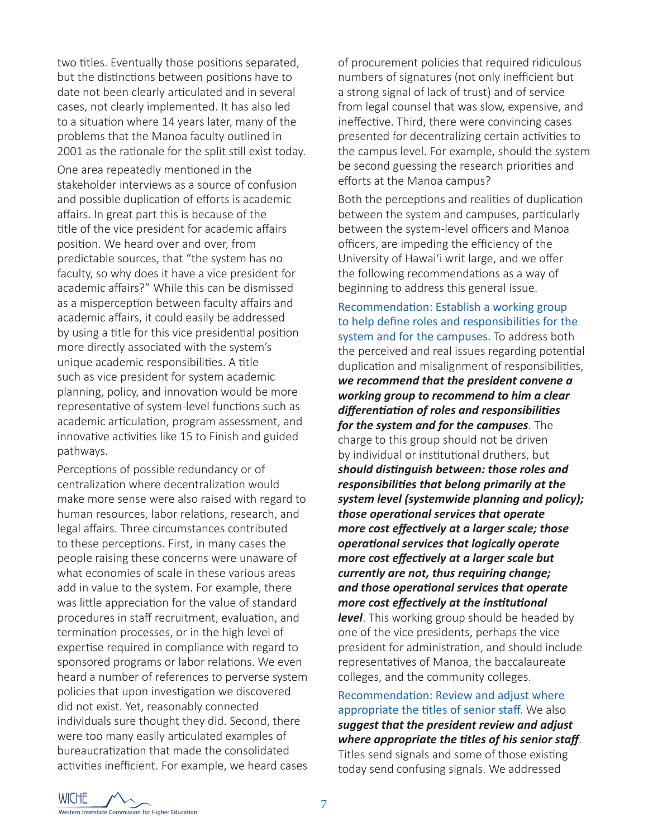two titles. Eventually those positions separated, but the distinctions between positions have to date not been clearly articulated and in several cases, not clearly implemented. It has also led to a situation where 14 years later, many of the problems that the Manoa faculty outlined in 2001 as the rationale for the split still exist today.

One area repeatedly mentioned in the stakeholder interviews as a source of confusion and possible duplication of efforts is academic affairs. In great part this is because of the title of the vice president for academic affairs position. We heard over and over, from predictable sources, that "the system has no faculty, so why does it have a vice president for academic affairs?" While this can be dismissed as a misperception between faculty affairs and academic affairs, it could easily be addressed by using a title for this vice presidential position more directly associated with the system's unique academic responsibilities. A title such as vice president for system academic planning, policy, and innovation would be more representative of system-level functions such as academic articulation, program assessment, and innovative activities like 15 to Finish and guided pathways.

Perceptions of possible redundancy or of centralization where decentralization would make more sense were also raised with regard to human resources, labor relations, research, and legal affairs. Three circumstances contributed to these perceptions. First, in many cases the people raising these concerns were unaware of what economies of scale in these various areas add in value to the system. For example, there was little appreciation for the value of standard procedures in staff recruitment, evaluation, and termination processes, or in the high level of expertise required in compliance with regard to sponsored programs or labor relations. We even heard a number of references to perverse system policies that upon investigation we discovered did not exist. Yet, reasonably connected individuals sure thought they did. Second, there were too many easily articulated examples of bureaucratization that made the consolidated activities inefficient. For example, we heard cases

of procurement policies that required ridiculous numbers of signatures (not only inefficient but a strong signal of lack of trust) and of service from legal counsel that was slow, expensive, and ineffective. Third, there were convincing cases presented for decentralizing certain activities to the campus level. For example, should the system be second guessing the research priorities and efforts at the Manoa campus?

Both the perceptions and realities of duplication between the system and campuses, particularly between the system-level officers and Manoa officers, are impeding the efficiency of the University of Hawai'i writ large, and we offer the following recommendations as a way of beginning to address this general issue.

Recommendation: Establish a working group to help define roles and responsibilities for the system and for the campuses. To address both the perceived and real issues regarding potential duplication and misalignment of responsibilities, *we recommend that the president convene a working group to recommend to him a clear differentiation of roles and responsibilities for the system and for the campuses*. The charge to this group should not be driven by individual or institutional druthers, but *should distinguish between: those roles and responsibilities that belong primarily at the system level (systemwide planning and policy); those operational services that operate more cost effectively at a larger scale; those operational services that logically operate more cost effectively at a larger scale but currently are not, thus requiring change; and those operational services that operate more cost effectively at the institutional level*. This working group should be headed by one of the vice presidents, perhaps the vice

president for administration, and should include representatives of Manoa, the baccalaureate colleges, and the community colleges.

Recommendation: Review and adjust where appropriate the titles of senior staff. We also *suggest that the president review and adjust where appropriate the titles of his senior staff*.

Titles send signals and some of those existing today send confusing signals. We addressed

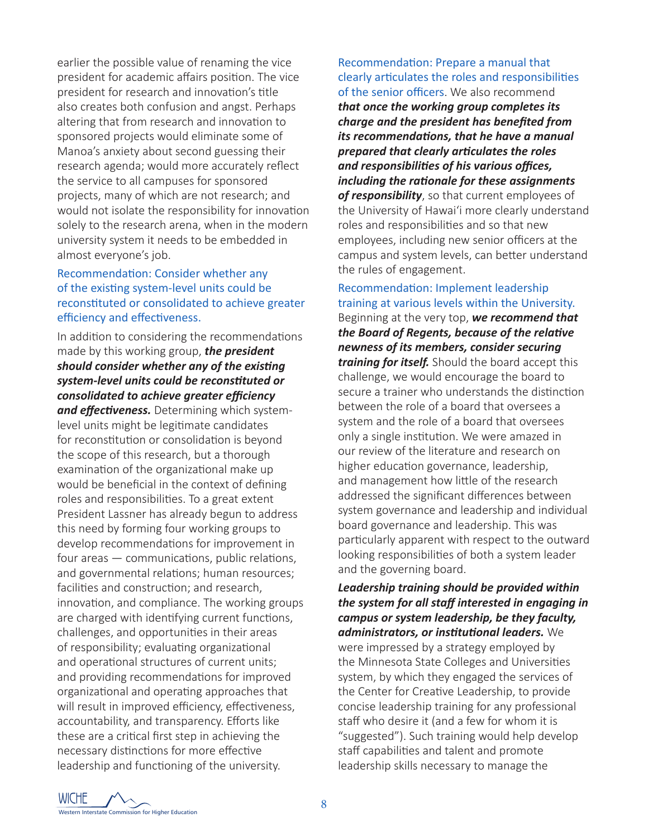earlier the possible value of renaming the vice president for academic affairs position. The vice president for research and innovation's title also creates both confusion and angst. Perhaps altering that from research and innovation to sponsored projects would eliminate some of Manoa's anxiety about second guessing their research agenda; would more accurately reflect the service to all campuses for sponsored projects, many of which are not research; and would not isolate the responsibility for innovation solely to the research arena, when in the modern university system it needs to be embedded in almost everyone's job.

#### Recommendation: Consider whether any of the existing system-level units could be reconstituted or consolidated to achieve greater efficiency and effectiveness.

In addition to considering the recommendations made by this working group, *the president should consider whether any of the existing system-level units could be reconstituted or consolidated to achieve greater efficiency and effectiveness.* Determining which systemlevel units might be legitimate candidates for reconstitution or consolidation is beyond the scope of this research, but a thorough examination of the organizational make up would be beneficial in the context of defining roles and responsibilities. To a great extent President Lassner has already begun to address this need by forming four working groups to develop recommendations for improvement in four areas — communications, public relations, and governmental relations; human resources; facilities and construction; and research, innovation, and compliance. The working groups are charged with identifying current functions, challenges, and opportunities in their areas of responsibility; evaluating organizational and operational structures of current units; and providing recommendations for improved organizational and operating approaches that will result in improved efficiency, effectiveness, accountability, and transparency. Efforts like these are a critical first step in achieving the necessary distinctions for more effective leadership and functioning of the university.

Recommendation: Prepare a manual that clearly articulates the roles and responsibilities of the senior officers. We also recommend *that once the working group completes its charge and the president has benefited from its recommendations, that he have a manual prepared that clearly articulates the roles and responsibilities of his various offices, including the rationale for these assignments of responsibility*, so that current employees of the University of Hawai'i more clearly understand roles and responsibilities and so that new employees, including new senior officers at the campus and system levels, can better understand the rules of engagement.

## Recommendation: Implement leadership training at various levels within the University.

Beginning at the very top, *we recommend that the Board of Regents, because of the relative newness of its members, consider securing training for itself.* Should the board accept this challenge, we would encourage the board to secure a trainer who understands the distinction between the role of a board that oversees a system and the role of a board that oversees only a single institution. We were amazed in our review of the literature and research on higher education governance, leadership, and management how little of the research addressed the significant differences between system governance and leadership and individual board governance and leadership. This was particularly apparent with respect to the outward looking responsibilities of both a system leader and the governing board.

*Leadership training should be provided within the system for all staff interested in engaging in campus or system leadership, be they faculty, administrators, or institutional leaders.* We were impressed by a strategy employed by the Minnesota State Colleges and Universities system, by which they engaged the services of the Center for Creative Leadership, to provide concise leadership training for any professional staff who desire it (and a few for whom it is "suggested"). Such training would help develop staff capabilities and talent and promote leadership skills necessary to manage the

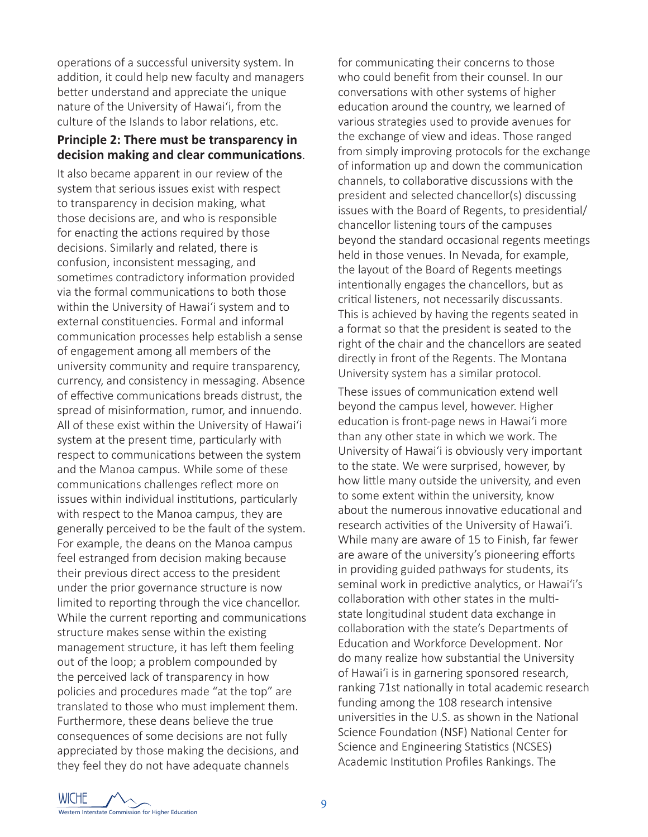operations of a successful university system. In addition, it could help new faculty and managers better understand and appreciate the unique nature of the University of Hawai'i, from the culture of the Islands to labor relations, etc.

#### **Principle 2: There must be transparency in decision making and clear communications**.

It also became apparent in our review of the system that serious issues exist with respect to transparency in decision making, what those decisions are, and who is responsible for enacting the actions required by those decisions. Similarly and related, there is confusion, inconsistent messaging, and sometimes contradictory information provided via the formal communications to both those within the University of Hawai'i system and to external constituencies. Formal and informal communication processes help establish a sense of engagement among all members of the university community and require transparency, currency, and consistency in messaging. Absence of effective communications breads distrust, the spread of misinformation, rumor, and innuendo. All of these exist within the University of Hawai'i system at the present time, particularly with respect to communications between the system and the Manoa campus. While some of these communications challenges reflect more on issues within individual institutions, particularly with respect to the Manoa campus, they are generally perceived to be the fault of the system. For example, the deans on the Manoa campus feel estranged from decision making because their previous direct access to the president under the prior governance structure is now limited to reporting through the vice chancellor. While the current reporting and communications structure makes sense within the existing management structure, it has left them feeling out of the loop; a problem compounded by the perceived lack of transparency in how policies and procedures made "at the top" are translated to those who must implement them. Furthermore, these deans believe the true consequences of some decisions are not fully appreciated by those making the decisions, and they feel they do not have adequate channels

for communicating their concerns to those who could benefit from their counsel. In our conversations with other systems of higher education around the country, we learned of various strategies used to provide avenues for the exchange of view and ideas. Those ranged from simply improving protocols for the exchange of information up and down the communication channels, to collaborative discussions with the president and selected chancellor(s) discussing issues with the Board of Regents, to presidential/ chancellor listening tours of the campuses beyond the standard occasional regents meetings held in those venues. In Nevada, for example, the layout of the Board of Regents meetings intentionally engages the chancellors, but as critical listeners, not necessarily discussants. This is achieved by having the regents seated in a format so that the president is seated to the right of the chair and the chancellors are seated directly in front of the Regents. The Montana University system has a similar protocol.

These issues of communication extend well beyond the campus level, however. Higher education is front-page news in Hawai'i more than any other state in which we work. The University of Hawai'i is obviously very important to the state. We were surprised, however, by how little many outside the university, and even to some extent within the university, know about the numerous innovative educational and research activities of the University of Hawai'i. While many are aware of 15 to Finish, far fewer are aware of the university's pioneering efforts in providing guided pathways for students, its seminal work in predictive analytics, or Hawai'i's collaboration with other states in the multistate longitudinal student data exchange in collaboration with the state's Departments of Education and Workforce Development. Nor do many realize how substantial the University of Hawai'i is in garnering sponsored research, ranking 71st nationally in total academic research funding among the 108 research intensive universities in the U.S. as shown in the National Science Foundation (NSF) National Center for Science and Engineering Statistics (NCSES) Academic Institution Profiles Rankings. The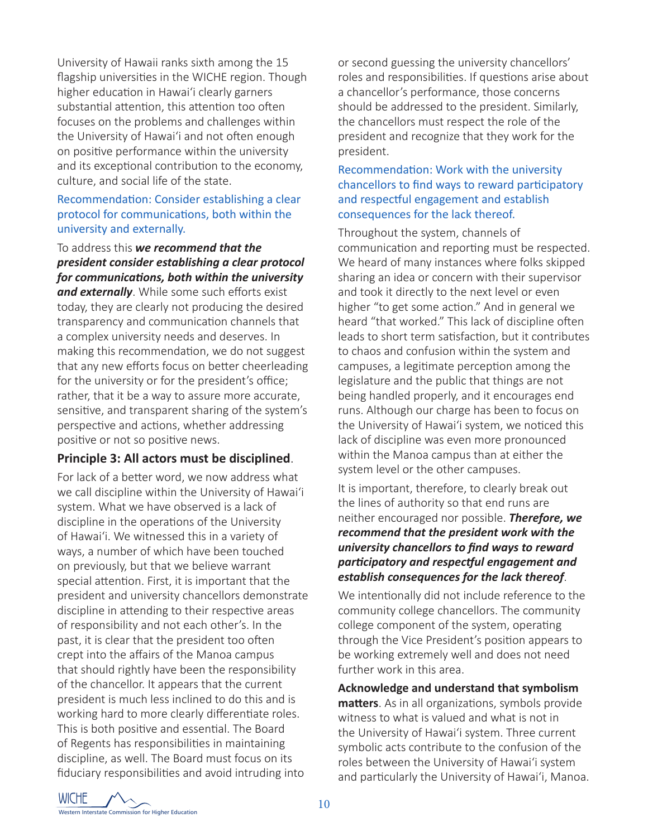University of Hawaii ranks sixth among the 15 flagship universities in the WICHE region. Though higher education in Hawai'i clearly garners substantial attention, this attention too often focuses on the problems and challenges within the University of Hawai'i and not often enough on positive performance within the university and its exceptional contribution to the economy, culture, and social life of the state.

#### Recommendation: Consider establishing a clear protocol for communications, both within the university and externally.

To address this *we recommend that the president consider establishing a clear protocol for communications, both within the university and externally*. While some such efforts exist today, they are clearly not producing the desired transparency and communication channels that a complex university needs and deserves. In making this recommendation, we do not suggest that any new efforts focus on better cheerleading for the university or for the president's office; rather, that it be a way to assure more accurate, sensitive, and transparent sharing of the system's perspective and actions, whether addressing positive or not so positive news.

#### **Principle 3: All actors must be disciplined**.

For lack of a better word, we now address what we call discipline within the University of Hawai'i system. What we have observed is a lack of discipline in the operations of the University of Hawai'i. We witnessed this in a variety of ways, a number of which have been touched on previously, but that we believe warrant special attention. First, it is important that the president and university chancellors demonstrate discipline in attending to their respective areas of responsibility and not each other's. In the past, it is clear that the president too often crept into the affairs of the Manoa campus that should rightly have been the responsibility of the chancellor. It appears that the current president is much less inclined to do this and is working hard to more clearly differentiate roles. This is both positive and essential. The Board of Regents has responsibilities in maintaining discipline, as well. The Board must focus on its fiduciary responsibilities and avoid intruding into

or second guessing the university chancellors' roles and responsibilities. If questions arise about a chancellor's performance, those concerns should be addressed to the president. Similarly, the chancellors must respect the role of the president and recognize that they work for the president.

#### Recommendation: Work with the university chancellors to find ways to reward participatory and respectful engagement and establish consequences for the lack thereof.

Throughout the system, channels of communication and reporting must be respected. We heard of many instances where folks skipped sharing an idea or concern with their supervisor and took it directly to the next level or even higher "to get some action." And in general we heard "that worked." This lack of discipline often leads to short term satisfaction, but it contributes to chaos and confusion within the system and campuses, a legitimate perception among the legislature and the public that things are not being handled properly, and it encourages end runs. Although our charge has been to focus on the University of Hawai'i system, we noticed this lack of discipline was even more pronounced within the Manoa campus than at either the system level or the other campuses.

It is important, therefore, to clearly break out the lines of authority so that end runs are neither encouraged nor possible. *Therefore, we recommend that the president work with the university chancellors to find ways to reward participatory and respectful engagement and establish consequences for the lack thereof*.

We intentionally did not include reference to the community college chancellors. The community college component of the system, operating through the Vice President's position appears to be working extremely well and does not need further work in this area.

**Acknowledge and understand that symbolism matters**. As in all organizations, symbols provide witness to what is valued and what is not in the University of Hawai'i system. Three current symbolic acts contribute to the confusion of the roles between the University of Hawai'i system and particularly the University of Hawai'i, Manoa.

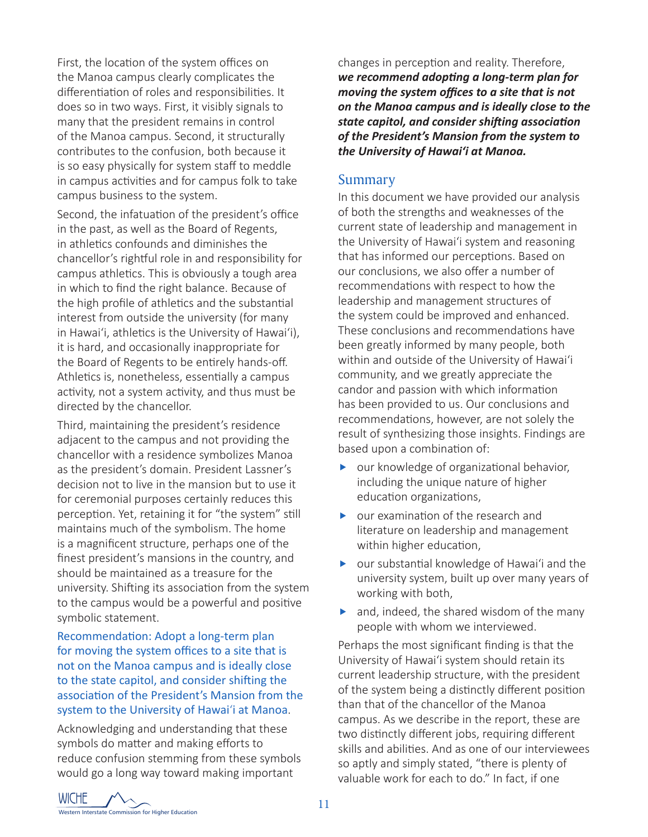First, the location of the system offices on the Manoa campus clearly complicates the differentiation of roles and responsibilities. It does so in two ways. First, it visibly signals to many that the president remains in control of the Manoa campus. Second, it structurally contributes to the confusion, both because it is so easy physically for system staff to meddle in campus activities and for campus folk to take campus business to the system.

Second, the infatuation of the president's office in the past, as well as the Board of Regents, in athletics confounds and diminishes the chancellor's rightful role in and responsibility for campus athletics. This is obviously a tough area in which to find the right balance. Because of the high profile of athletics and the substantial interest from outside the university (for many in Hawai'i, athletics is the University of Hawai'i), it is hard, and occasionally inappropriate for the Board of Regents to be entirely hands-off. Athletics is, nonetheless, essentially a campus activity, not a system activity, and thus must be directed by the chancellor.

Third, maintaining the president's residence adjacent to the campus and not providing the chancellor with a residence symbolizes Manoa as the president's domain. President Lassner's decision not to live in the mansion but to use it for ceremonial purposes certainly reduces this perception. Yet, retaining it for "the system" still maintains much of the symbolism. The home is a magnificent structure, perhaps one of the finest president's mansions in the country, and should be maintained as a treasure for the university. Shifting its association from the system to the campus would be a powerful and positive symbolic statement.

Recommendation: Adopt a long-term plan for moving the system offices to a site that is not on the Manoa campus and is ideally close to the state capitol, and consider shifting the association of the President's Mansion from the system to the University of Hawai'i at Manoa.

Acknowledging and understanding that these symbols do matter and making efforts to reduce confusion stemming from these symbols would go a long way toward making important

changes in perception and reality. Therefore, *we recommend adopting a long-term plan for moving the system offices to a site that is not on the Manoa campus and is ideally close to the state capitol, and consider shifting association of the President's Mansion from the system to the University of Hawai'i at Manoa.*

#### Summary

In this document we have provided our analysis of both the strengths and weaknesses of the current state of leadership and management in the University of Hawai'i system and reasoning that has informed our perceptions. Based on our conclusions, we also offer a number of recommendations with respect to how the leadership and management structures of the system could be improved and enhanced. These conclusions and recommendations have been greatly informed by many people, both within and outside of the University of Hawai'i community, and we greatly appreciate the candor and passion with which information has been provided to us. Our conclusions and recommendations, however, are not solely the result of synthesizing those insights. Findings are based upon a combination of:

- $\triangleright$  our knowledge of organizational behavior, including the unique nature of higher education organizations,
- $\triangleright$  our examination of the research and literature on leadership and management within higher education,
- $\triangleright$  our substantial knowledge of Hawai'i and the university system, built up over many years of working with both,
- $\blacktriangleright$  and, indeed, the shared wisdom of the many people with whom we interviewed.

Perhaps the most significant finding is that the University of Hawai'i system should retain its current leadership structure, with the president of the system being a distinctly different position than that of the chancellor of the Manoa campus. As we describe in the report, these are two distinctly different jobs, requiring different skills and abilities. And as one of our interviewees so aptly and simply stated, "there is plenty of valuable work for each to do." In fact, if one

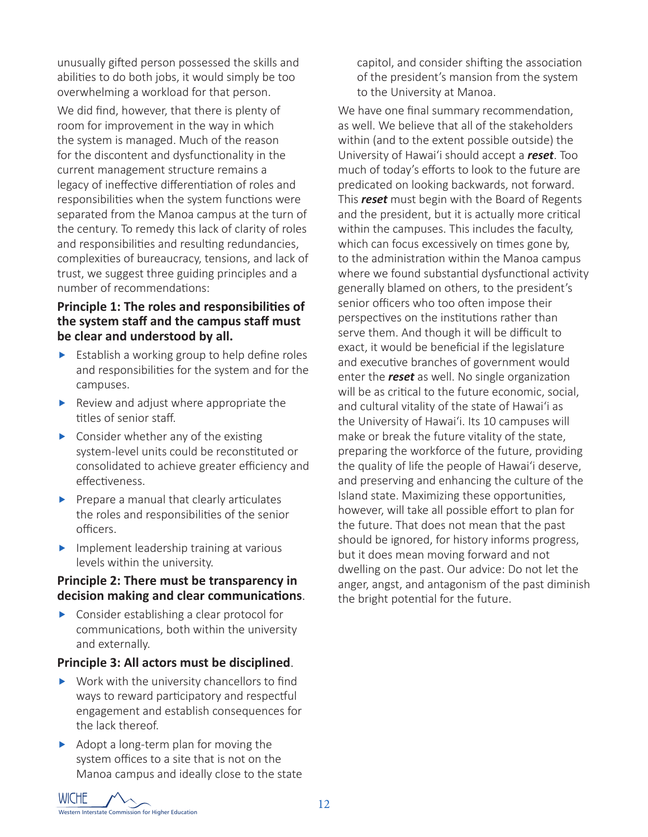unusually gifted person possessed the skills and abilities to do both jobs, it would simply be too overwhelming a workload for that person.

We did find, however, that there is plenty of room for improvement in the way in which the system is managed. Much of the reason for the discontent and dysfunctionality in the current management structure remains a legacy of ineffective differentiation of roles and responsibilities when the system functions were separated from the Manoa campus at the turn of the century. To remedy this lack of clarity of roles and responsibilities and resulting redundancies, complexities of bureaucracy, tensions, and lack of trust, we suggest three guiding principles and a number of recommendations:

## **Principle 1: The roles and responsibilities of the system staff and the campus staff must be clear and understood by all.**

- $\blacktriangleright$  Establish a working group to help define roles and responsibilities for the system and for the campuses.
- $\blacktriangleright$  Review and adjust where appropriate the titles of senior staff.
- $\triangleright$  Consider whether any of the existing system-level units could be reconstituted or consolidated to achieve greater efficiency and effectiveness.
- $\blacktriangleright$  Prepare a manual that clearly articulates the roles and responsibilities of the senior officers.
- $\blacktriangleright$  Implement leadership training at various levels within the university.

## **Principle 2: There must be transparency in decision making and clear communications**.

 $\blacktriangleright$  Consider establishing a clear protocol for communications, both within the university and externally.

## **Principle 3: All actors must be disciplined**.

- $\blacktriangleright$  Work with the university chancellors to find ways to reward participatory and respectful engagement and establish consequences for the lack thereof.
- $\blacktriangleright$  Adopt a long-term plan for moving the system offices to a site that is not on the Manoa campus and ideally close to the state

capitol, and consider shifting the association of the president's mansion from the system to the University at Manoa.

We have one final summary recommendation, as well. We believe that all of the stakeholders within (and to the extent possible outside) the University of Hawai'i should accept a *reset*. Too much of today's efforts to look to the future are predicated on looking backwards, not forward. This *reset* must begin with the Board of Regents and the president, but it is actually more critical within the campuses. This includes the faculty, which can focus excessively on times gone by, to the administration within the Manoa campus where we found substantial dysfunctional activity generally blamed on others, to the president's senior officers who too often impose their perspectives on the institutions rather than serve them. And though it will be difficult to exact, it would be beneficial if the legislature and executive branches of government would enter the *reset* as well. No single organization will be as critical to the future economic, social, and cultural vitality of the state of Hawai'i as the University of Hawai'i. Its 10 campuses will make or break the future vitality of the state, preparing the workforce of the future, providing the quality of life the people of Hawai'i deserve, and preserving and enhancing the culture of the Island state. Maximizing these opportunities, however, will take all possible effort to plan for the future. That does not mean that the past should be ignored, for history informs progress, but it does mean moving forward and not dwelling on the past. Our advice: Do not let the anger, angst, and antagonism of the past diminish the bright potential for the future.

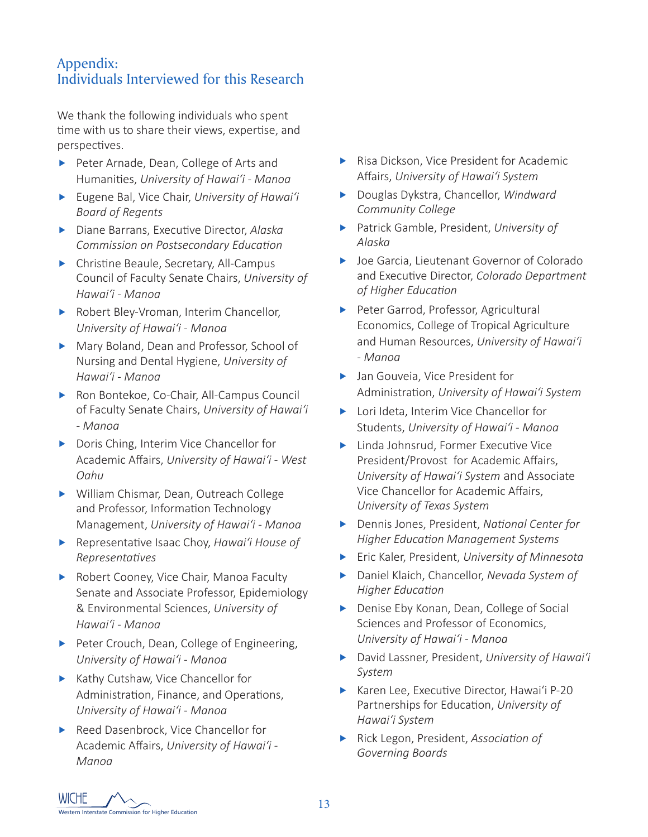## Appendix: Individuals Interviewed for this Research

We thank the following individuals who spent time with us to share their views, expertise, and perspectives.

- Peter Arnade, Dean, College of Arts and Humanities, *University of Hawai'i - Manoa*
- **Figure Bal, Vice Chair,** *University of Hawai'i Board of Regents*
- **F** Diane Barrans, Executive Director, *Alaska Commission on Postsecondary Education*
- $\blacktriangleright$  Christine Beaule, Secretary, All-Campus Council of Faculty Senate Chairs, *University of Hawai'i - Manoa*
- $\blacktriangleright$  Robert Bley-Vroman, Interim Chancellor, *University of Hawai'i - Manoa*
- Mary Boland, Dean and Professor, School of Nursing and Dental Hygiene, *University of Hawai'i - Manoa*
- ▶ Ron Bontekoe, Co-Chair, All-Campus Council of Faculty Senate Chairs, *University of Hawai'i - Manoa*
- $\triangleright$  Doris Ching, Interim Vice Chancellor for Academic Affairs, *University of Hawai'i - West Oahu*
- Milliam Chismar, Dean, Outreach College and Professor, Information Technology Management, *University of Hawai'i - Manoa*
- **F** Representative Isaac Choy, *Hawai'i House of Representatives*
- Robert Cooney, Vice Chair, Manoa Faculty Senate and Associate Professor, Epidemiology & Environmental Sciences, *University of Hawai'i - Manoa*
- $\blacktriangleright$  Peter Crouch, Dean, College of Engineering, *University of Hawai'i - Manoa*
- $\blacktriangleright$  Kathy Cutshaw, Vice Chancellor for Administration, Finance, and Operations, *University of Hawai'i - Manoa*
- Reed Dasenbrock, Vice Chancellor for Academic Affairs, *University of Hawai'i - Manoa*
- $\blacktriangleright$  Risa Dickson, Vice President for Academic Affairs, *University of Hawai'i System*
- **EXEC** Douglas Dykstra, Chancellor, *Windward Community College*
- **Fatrick Gamble, President, University of** *Alaska*
- ▶ Joe Garcia, Lieutenant Governor of Colorado and Executive Director, *Colorado Department of Higher Education*
- Peter Garrod, Professor, Agricultural Economics, College of Tropical Agriculture and Human Resources, *University of Hawai'i - Manoa*
- ▶ Jan Gouveia, Vice President for Administration, *University of Hawai'i System*
- ▶ Lori Ideta, Interim Vice Chancellor for Students, *University of Hawai'i - Manoa*
- $\blacktriangleright$  Linda Johnsrud, Former Executive Vice President/Provost for Academic Affairs, *University of Hawai'i System* and Associate Vice Chancellor for Academic Affairs, *University of Texas System*
- **F** Dennis Jones, President, *National Center for Higher Education Management Systems*
- **Fic Kaler, President, University of Minnesota**
- **EXEC** Daniel Klaich, Chancellor, *Nevada System of Higher Education*
- **F** Denise Eby Konan, Dean, College of Social Sciences and Professor of Economics, *University of Hawai'i - Manoa*
- **F** David Lassner, President, *University of Hawai'i System*
- ▶ Karen Lee, Executive Director, Hawai'i P-20 Partnerships for Education, *University of Hawai'i System*
- **F** Rick Legon, President, *Association of Governing Boards*